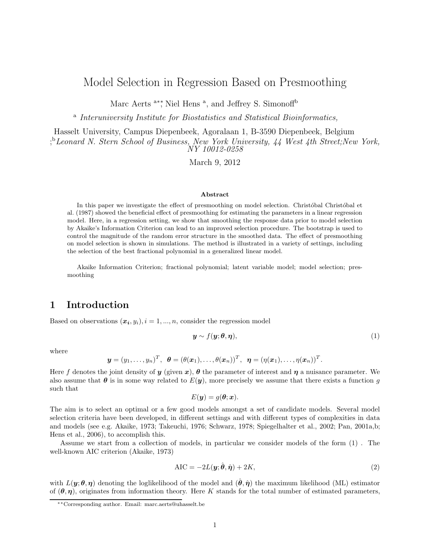# Model Selection in Regression Based on Presmoothing

Marc Aerts <sup>a</sup><sup>\*</sup>\*, Niel Hens<sup>a</sup>, and Jeffrey S. Simonof<sup>fb</sup>

<sup>a</sup> Interuniversity Institute for Biostatistics and Statistical Bioinformatics,

Hasselt University, Campus Diepenbeek, Agoralaan 1, B-3590 Diepenbeek, Belgium

; <sup>b</sup>Leonard N. Stern School of Business, New York University, 44 West 4th Street;New York, NY 10012-0258

March 9, 2012

#### Abstract

In this paper we investigate the effect of presmoothing on model selection. Christobal Christobal et al. (1987) showed the beneficial effect of presmoothing for estimating the parameters in a linear regression model. Here, in a regression setting, we show that smoothing the response data prior to model selection by Akaike's Information Criterion can lead to an improved selection procedure. The bootstrap is used to control the magnitude of the random error structure in the smoothed data. The effect of presmoothing on model selection is shown in simulations. The method is illustrated in a variety of settings, including the selection of the best fractional polynomial in a generalized linear model.

Akaike Information Criterion; fractional polynomial; latent variable model; model selection; presmoothing

## 1 Introduction

Based on observations  $(x_i, y_i)$ ,  $i = 1, ..., n$ , consider the regression model

$$
\mathbf{y} \sim f(\mathbf{y}; \boldsymbol{\theta}, \boldsymbol{\eta}),\tag{1}
$$

where

$$
\boldsymbol{y}=(y_1,\ldots,y_n)^T, \boldsymbol{\theta}=(\theta(\boldsymbol{x}_1),\ldots,\theta(\boldsymbol{x}_n))^T, \boldsymbol{\eta}=(\eta(\boldsymbol{x}_1),\ldots,\eta(\boldsymbol{x}_n))^T.
$$

Here f denotes the joint density of y (given x),  $\theta$  the parameter of interest and  $\eta$  a nuisance parameter. We also assume that  $\theta$  is in some way related to  $E(y)$ , more precisely we assume that there exists a function g such that

$$
E(\boldsymbol{y})=g(\boldsymbol{\theta};\boldsymbol{x}).
$$

The aim is to select an optimal or a few good models amongst a set of candidate models. Several model selection criteria have been developed, in different settings and with different types of complexities in data and models (see e.g. Akaike, 1973; Takeuchi, 1976; Schwarz, 1978; Spiegelhalter et al., 2002; Pan, 2001a,b; Hens et al., 2006), to accomplish this.

Assume we start from a collection of models, in particular we consider models of the form (1) . The well-known AIC criterion (Akaike, 1973)

$$
AIC = -2L(\mathbf{y}; \hat{\boldsymbol{\theta}}, \hat{\boldsymbol{\eta}}) + 2K,
$$
\n(2)

with  $L(\mathbf{y};\theta,\eta)$  denoting the loglikelihood of the model and  $(\hat{\theta},\hat{\eta})$  the maximum likelihood (ML) estimator of  $(\theta, \eta)$ , originates from information theory. Here K stands for the total number of estimated parameters,

<sup>∗∗</sup>Corresponding author. Email: marc.aerts@uhasselt.be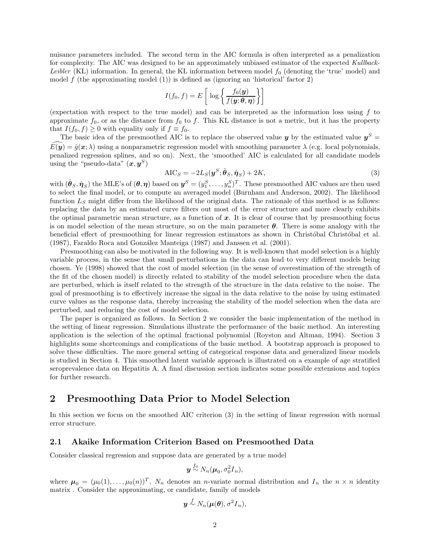nuisance parameters included. The second term in the AIC formula is often interpreted as a penalization for complexity. The AIC was designed to be an approximately unbiased estimator of the expected *Kullback-*Leibler (KL) information. In general, the KL information between model  $f_0$  (denoting the 'true' model) and model  $f$  (the approximating model  $(1)$ ) is defined as (ignoring an 'historical' factor 2)

$$
I(f_0, f) = E\left[\log\left\{\frac{f_0(\mathbf{y})}{f(\mathbf{y}; \theta, \eta)}\right\}\right]
$$

(expectation with respect to the true model) and can be interpreted as the information loss using  $f$  to approximate  $f_0$ , or as the distance from  $f_0$  to f. This KL distance is not a metric, but it has the property that  $I(f_0, f) \geq 0$  with equality only if  $f \equiv f_0$ .

The basic idea of the presmoothed AIC is to replace the observed value  $y$  by the estimated value  $y^S =$  $\widehat{E}(\widehat{y}) = \widehat{g}(x; \lambda)$  using a nonparametric regression model with smoothing parameter  $\lambda$  (e.g. local polynomials, penalized regression splines, and so on). Next, the 'smoothed' AIC is calculated for all candidate models using the "pseudo-data"  $(x, y^S)$ 

$$
AIC_S = -2L_S(\boldsymbol{y}^S; \hat{\boldsymbol{\theta}}_S, \hat{\boldsymbol{\eta}}_S) + 2K,
$$
\n(3)

with  $(\hat{\bm{\theta}}_S, \hat{\bm{\eta}}_S)$  the MLE's of  $(\bm{\theta}, \bm{\eta})$  based on  $\bm{y}^S=(y_1^S, \dots, y_n^S)^T$ . These presmoothed AIC values are then used to select the final model, or to compute an averaged model (Burnham and Anderson, 2002). The likelihood function  $L<sub>S</sub>$  might differ from the likelihood of the original data. The rationale of this method is as follows: replacing the data by an estimated curve filters out most of the error structure and more clearly exhibits the optimal parametric mean structure, as a function of  $x$ . It is clear of course that by presmoothing focus is on model selection of the mean structure, so on the main parameter  $\theta$ . There is some analogy with the beneficial effect of presmoothing for linear regression estimators as shown in Christóbal Christóbal et al.  $(1987)$ , Faraldo Roca and González Manteiga  $(1987)$  and Janssen et al.  $(2001)$ .

Presmoothing can also be motivated in the following way. It is well-known that model selection is a highly variable process, in the sense that small perturbations in the data can lead to very different models being chosen. Ye (1998) showed that the cost of model selection (in the sense of overestimation of the strength of the fit of the chosen model) is directly related to stability of the model selection procedure when the data are perturbed, which is itself related to the strength of the structure in the data relative to the noise. The goal of presmoothing is to effectively increase the signal in the data relative to the noise by using estimated curve values as the response data, thereby increasing the stability of the model selection when the data are perturbed, and reducing the cost of model selection.

The paper is organized as follows. In Section 2 we consider the basic implementation of the method in the setting of linear regression. Simulations illustrate the performance of the basic method. An interesting application is the selection of the optimal fractional polynomial (Royston and Altman, 1994). Section 3 highlights some shortcomings and complications of the basic method. A bootstrap approach is proposed to solve these difficulties. The more general setting of categorical response data and generalized linear models is studied in Section 4. This smoothed latent variable approach is illustrated on a example of age stratified seroprevalence data on Hepatitis A. A final discussion section indicates some possible extensions and topics for further research.

## 2 Presmoothing Data Prior to Model Selection

In this section we focus on the smoothed AIC criterion (3) in the setting of linear regression with normal error structure.

### 2.1 Akaike Information Criterion Based on Presmoothed Data

Consider classical regression and suppose data are generated by a true model

$$
\boldsymbol{y} \stackrel{f_0}{\sim} N_n(\boldsymbol{\mu}_0, \sigma_0^2 \boldsymbol{I}_n),
$$

where  $\mu_0 = (\mu_0(1), \dots, \mu_0(n))^T$ ,  $N_n$  denotes an *n*-variate normal distribution and  $I_n$  the  $n \times n$  identity matrix . Consider the approximating, or candidate, family of models

$$
\boldsymbol{y} \stackrel{f}{\sim} N_n(\boldsymbol{\mu}(\boldsymbol{\theta}), \sigma^2 I_n),
$$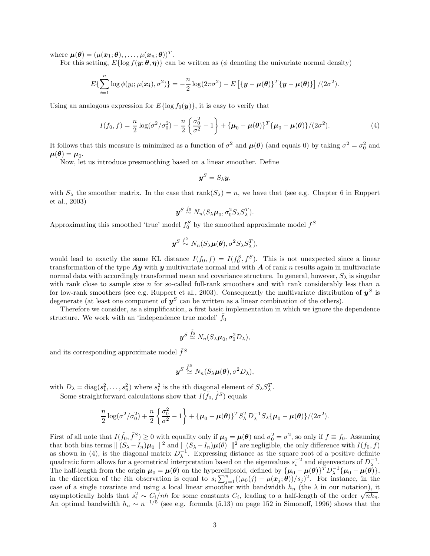where  $\boldsymbol{\mu}(\boldsymbol{\theta}) = (\mu(\boldsymbol{x}_1; \boldsymbol{\theta}), \ldots, \mu(\boldsymbol{x}_n; \boldsymbol{\theta}))^T.$ 

For this setting,  $E\{\log f(\bm{y};\bm{\theta},\bm{\eta})\}$  can be written as ( $\phi$  denoting the univariate normal density)

$$
E\{\sum_{i=1}^n \log \phi(y_i;\mu(\boldsymbol{x_i}),\sigma^2)\} = -\frac{n}{2}\log(2\pi\sigma^2) - E\left[\{\boldsymbol{y}-\boldsymbol{\mu}(\boldsymbol{\theta})\}^T\{\boldsymbol{y}-\boldsymbol{\mu}(\boldsymbol{\theta})\}\right]/(2\sigma^2).
$$

Using an analogous expression for  $E\{\log f_0(\boldsymbol{y})\}\,$ , it is easy to verify that

$$
I(f_0, f) = \frac{n}{2} \log(\sigma^2/\sigma_0^2) + \frac{n}{2} \left\{ \frac{\sigma_0^2}{\sigma^2} - 1 \right\} + \left\{ \mu_0 - \mu(\theta) \right\}^T \left\{ \mu_0 - \mu(\theta) \right\} / (2\sigma^2).
$$
 (4)

It follows that this measure is minimized as a function of  $\sigma^2$  and  $\mu(\theta)$  (and equals 0) by taking  $\sigma^2 = \sigma_0^2$  and  $\boldsymbol{\mu}(\boldsymbol{\theta}) = \boldsymbol{\mu}_0.$ 

Now, let us introduce presmoothing based on a linear smoother. Define

$$
\boldsymbol{y}^S = S_\lambda \boldsymbol{y},
$$

with  $S_\lambda$  the smoother matrix. In the case that rank $(S_\lambda) = n$ , we have that (see e.g. Chapter 6 in Ruppert et al., 2003)

$$
\boldsymbol{y}^S \stackrel{f_0}{\sim} N_n(S_{\lambda}\boldsymbol{\mu}_0, \sigma_0^2 S_{\lambda} S_{\lambda}^T).
$$

Approximating this smoothed 'true' model  $f_0^S$  by the smoothed approximate model  $f^S$ 

$$
\boldsymbol{y}^S \stackrel{f^S}{\sim} N_n(S_{\lambda} \boldsymbol{\mu}(\boldsymbol{\theta}), \sigma^2 S_{\lambda} S_{\lambda}^T),
$$

would lead to exactly the same KL distance  $I(f_0, f) = I(f_0^S, f^S)$ . This is not unexpected since a linear transformation of the type  $Ay$  with y multivariate normal and with A of rank n results again in multivariate normal data with accordingly transformed mean and covariance structure. In general, however,  $S_\lambda$  is singular with rank close to sample size  $n$  for so-called full-rank smoothers and with rank considerably less than  $n$ for low-rank smoothers (see e.g. Ruppert et al., 2003). Consequently the multivariate distribution of  $y^S$  is degenerate (at least one component of  $y^S$  can be written as a linear combination of the others).

Therefore we consider, as a simplification, a first basic implementation in which we ignore the dependence structure. We work with an 'independence true model'  $f_0$ 

$$
\boldsymbol{y}^S \stackrel{\tilde{f}_0}{\simeq} N_n(S_{\lambda} \boldsymbol{\mu}_0, \sigma_0^2 D_{\lambda}),
$$

and its corresponding approximate model  $\tilde{f}^S$ 

$$
\boldsymbol{y}^S \stackrel{\tilde{f}^S}{\simeq} N_n(S_{\lambda}\boldsymbol{\mu}(\boldsymbol{\theta}), \sigma^2D_{\lambda}),
$$

with  $D_{\lambda} = \text{diag}(s_1^2, \ldots, s_n^2)$  where  $s_i^2$  is the *i*th diagonal element of  $S_{\lambda} S_{\lambda}^T$ .

Some straightforward calculations show that  $I(\tilde{f}_0, \tilde{f}^S)$  equals

$$
\frac{n}{2}\log(\sigma^2/\sigma_0^2)+\frac{n}{2}\left\{\frac{\sigma_0^2}{\sigma^2}-1\right\}+\{\boldsymbol{\mu}_0-\boldsymbol{\mu}(\boldsymbol{\theta})\}^T S_{\lambda}^T D_{\lambda}^{-1} S_{\lambda}\{\boldsymbol{\mu}_0-\boldsymbol{\mu}(\boldsymbol{\theta})\}/(2\sigma^2).
$$

First of all note that  $I(\tilde{f}_0, \tilde{f}^S) \ge 0$  with equality only if  $\mu_0 = \mu(\theta)$  and  $\sigma_0^2 = \sigma^2$ , so only if  $f \equiv f_0$ . Assuming that both bias terms  $|| (S_{\lambda} - I_n)\mu_0 ||^2$  and  $|| (S_{\lambda} - I_n)\mu_0 ||^2$  are negligible, the only difference with  $I(f_0, f)$ as shown in (4), is the diagonal matrix  $D_{\lambda}^{-1}$ . Expressing distance as the square root of a positive definite quadratic form allows for a geometrical interpretation based on the eigenvalues  $s_i^{-2}$  and eigenvectors of  $D_{\lambda}^{-1}$ . quadratic form ahows for a geometrical interpretation based on the eigenvalues  $s_i$  and eigenvectors of  $D_{\lambda}$ .<br>The half-length from the origin  $\mu_0 = \mu(\theta)$  on the hyperellipsoid, defined by  $\{\mu_0 - \mu(\theta)\}^T D_{\lambda}^{-1} {\{\mu_0$ in the direction of the *i*th observation is equal to  $s_i \sum_{j=1}^n ((\mu_0(j) - \mu(x_j; \theta))/s_j)^2$ . For instance, in the case of a single covariate and using a local linear smoother with bandwidth  $h_n$  (the  $\lambda$  in our notation), it asymptotically holds that  $s_i^2 \sim C_i/nh$  for some constants  $C_i$ , leading to a half-length of the order  $\sqrt{nh_n}$ . An optimal bandwidth  $h_n \sim n^{-1/5}$  (see e.g. formula (5.13) on page 152 in Simonoff, 1996) shows that the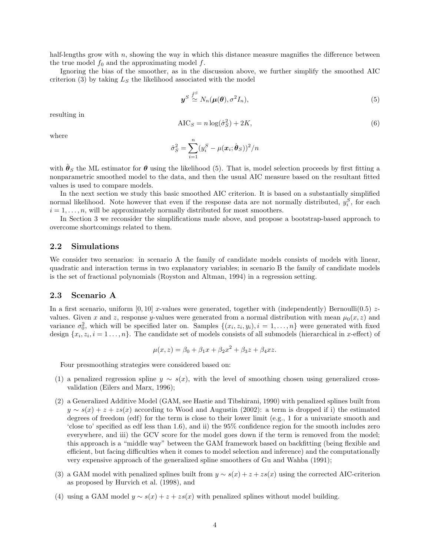half-lengths grow with  $n$ , showing the way in which this distance measure magnifies the difference between the true model  $f_0$  and the approximating model  $f$ .

Ignoring the bias of the smoother, as in the discussion above, we further simplify the smoothed AIC criterion (3) by taking  $L<sub>S</sub>$  the likelihood associated with the model

$$
\boldsymbol{y}^S \stackrel{\tilde{f}^S}{\simeq} N_n(\boldsymbol{\mu}(\boldsymbol{\theta}), \sigma^2 I_n), \tag{5}
$$

resulting in

$$
AIC_S = n \log(\hat{\sigma}_S^2) + 2K,\tag{6}
$$

where

$$
\hat{\sigma}_S^2 = \sum_{i=1}^n (y_i^S - \mu(\boldsymbol{x}_i; \hat{\boldsymbol{\theta}}_S))^2/n
$$

with  $\hat{\theta}_S$  the ML estimator for  $\theta$  using the likelihood (5). That is, model selection proceeds by first fitting a nonparametric smoothed model to the data, and then the usual AIC measure based on the resultant fitted values is used to compare models.

In the next section we study this basic smoothed AIC criterion. It is based on a substantially simplified normal likelihood. Note however that even if the response data are not normally distributed,  $y_i^S$ , for each  $i = 1, \ldots, n$ , will be approximately normally distributed for most smoothers.

In Section 3 we reconsider the simplifications made above, and propose a bootstrap-based approach to overcome shortcomings related to them.

#### 2.2 Simulations

We consider two scenarios: in scenario A the family of candidate models consists of models with linear, quadratic and interaction terms in two explanatory variables; in scenario B the family of candidate models is the set of fractional polynomials (Royston and Altman, 1994) in a regression setting.

#### 2.3 Scenario A

In a first scenario, uniform [0, 10] x-values were generated, together with (independently) Bernoulli(0.5)  $z$ values. Given x and z, response y-values were generated from a normal distribution with mean  $\mu_0(x, z)$  and variance  $\sigma_0^2$ , which will be specified later on. Samples  $\{(x_i, z_i, y_i), i = 1, \ldots, n\}$  were generated with fixed design  $\{x_i, z_i, i = 1, \ldots, n\}$ . The candidate set of models consists of all submodels (hierarchical in x-effect) of

$$
\mu(x, z) = \beta_0 + \beta_1 x + \beta_2 x^2 + \beta_3 z + \beta_4 x z.
$$

Four presmoothing strategies were considered based on:

- (1) a penalized regression spline  $y \sim s(x)$ , with the level of smoothing chosen using generalized crossvalidation (Eilers and Marx, 1996);
- (2) a Generalized Additive Model (GAM, see Hastie and Tibshirani, 1990) with penalized splines built from  $y \sim s(x) + z + zs(x)$  according to Wood and Augustin (2002): a term is dropped if i) the estimated degrees of freedom (edf) for the term is close to their lower limit (e.g., 1 for a univariate smooth and 'close to' specified as edf less than 1.6), and ii) the 95% confidence region for the smooth includes zero everywhere, and iii) the GCV score for the model goes down if the term is removed from the model; this approach is a "middle way" between the GAM framework based on backfitting (being flexible and efficient, but facing difficulties when it comes to model selection and inference) and the computationally very expensive approach of the generalized spline smoothers of Gu and Wahba (1991);
- (3) a GAM model with penalized splines built from  $y \sim s(x) + z + zs(x)$  using the corrected AIC-criterion as proposed by Hurvich et al. (1998), and
- (4) using a GAM model  $y \sim s(x) + z + zs(x)$  with penalized splines without model building.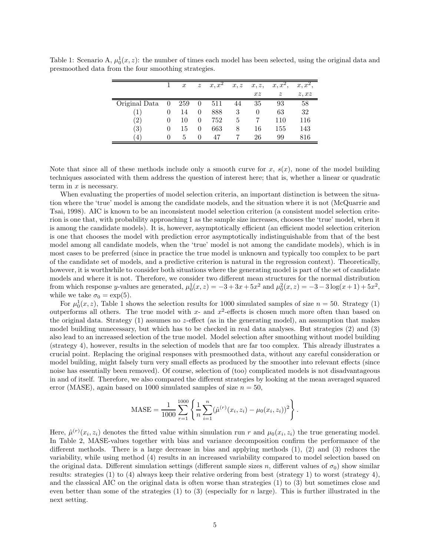|               |                | $\boldsymbol{x}$ | $\boldsymbol{z}$ | $x, x^2$ | x, z | x, z, | $x, x^2,$                 | $x, x^2$ |
|---------------|----------------|------------------|------------------|----------|------|-------|---------------------------|----------|
|               |                |                  |                  |          |      | xz    | $\widetilde{\mathcal{Z}}$ | z, xz    |
| Original Data | $\overline{0}$ | 259              | $\theta$         | 511      | 44   | 35    | 93                        | 58       |
| (1)           | 0              | 14               | 0                | 888      | 3    | 0     | 63                        | 32       |
| (2)           | $\theta$       | 10               | 0                | 752      | 5    |       | 110                       | 116      |
| (3)           | $\theta$       | 15               | 0                | 663      | 8    | 16    | 155                       | 143      |
| 4             | $\mathbf{0}$   | 5                | $\Omega$         | 47       |      | 26    | 99                        | 816      |

Table 1: Scenario A,  $\mu_0^1(x, z)$ : the number of times each model has been selected, using the original data and presmoothed data from the four smoothing strategies.

Note that since all of these methods include only a smooth curve for x,  $s(x)$ , none of the model building techniques associated with them address the question of interest here; that is, whether a linear or quadratic term in  $x$  is necessary.

When evaluating the properties of model selection criteria, an important distinction is between the situation where the 'true' model is among the candidate models, and the situation where it is not (McQuarrie and Tsai, 1998). AIC is known to be an inconsistent model selection criterion (a consistent model selection criterion is one that, with probability approaching 1 as the sample size increases, chooses the 'true' model, when it is among the candidate models). It is, however, asymptotically efficient (an efficient model selection criterion is one that chooses the model with prediction error asymptotically indistinguishable from that of the best model among all candidate models, when the 'true' model is not among the candidate models), which is in most cases to be preferred (since in practice the true model is unknown and typically too complex to be part of the candidate set of models, and a predictive criterion is natural in the regression context). Theoretically, however, it is worthwhile to consider both situations where the generating model is part of the set of candidate models and where it is not. Therefore, we consider two different mean structures for the normal distribution from which response y-values are generated,  $\mu_0^1(x, z) = -3 + 3x + 5x^2$  and  $\mu_0^2(x, z) = -3 - 3\log(x + 1) + 5x^2$ , while we take  $\sigma_0 = \exp(5)$ .

For  $\mu_0^1(x, z)$ , Table 1 shows the selection results for 1000 simulated samples of size  $n = 50$ . Strategy (1) outperforms all others. The true model with x- and  $x^2$ -effects is chosen much more often than based on the original data. Strategy  $(1)$  assumes no z-effect (as in the generating model), an assumption that makes model building unnecessary, but which has to be checked in real data analyses. But strategies (2) and (3) also lead to an increased selection of the true model. Model selection after smoothing without model building (strategy 4), however, results in the selection of models that are far too complex. This already illustrates a crucial point. Replacing the original responses with presmoothed data, without any careful consideration or model building, might falsely turn very small effects as produced by the smoother into relevant effects (since noise has essentially been removed). Of course, selection of (too) complicated models is not disadvantageous in and of itself. Therefore, we also compared the different strategies by looking at the mean averaged squared error (MASE), again based on 1000 simulated samples of size  $n = 50$ ,

$$
\text{MASE} = \frac{1}{1000} \sum_{r=1}^{1000} \left\{ \frac{1}{n} \sum_{i=1}^{n} (\hat{\mu}^{(r)}(x_i, z_i) - \mu_0(x_i, z_i))^2 \right\}.
$$

Here,  $\hat{\mu}^{(r)}(x_i, z_i)$  denotes the fitted value within simulation run r and  $\mu_0(x_i, z_i)$  the true generating model. In Table 2, MASE-values together with bias and variance decomposition confirm the performance of the different methods. There is a large decrease in bias and applying methods (1), (2) and (3) reduces the variability, while using method (4) results in an increased variability compared to model selection based on the original data. Different simulation settings (different sample sizes n, different values of  $\sigma_0$ ) show similar results: strategies (1) to (4) always keep their relative ordering from best (strategy 1) to worst (strategy 4), and the classical AIC on the original data is often worse than strategies (1) to (3) but sometimes close and even better than some of the strategies (1) to (3) (especially for n large). This is further illustrated in the next setting.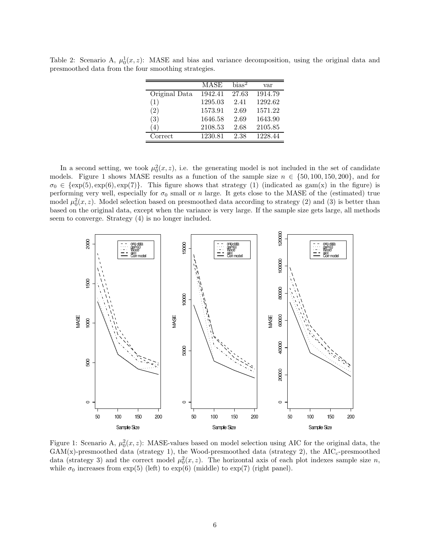Table 2: Scenario A,  $\mu_0^1(x, z)$ : MASE and bias and variance decomposition, using the original data and presmoothed data from the four smoothing strategies.

|               | MASE    | bias <sup>2</sup> | var     |
|---------------|---------|-------------------|---------|
| Original Data | 1942.41 | 27.63             | 1914.79 |
| (1)           | 1295.03 | 2.41              | 1292.62 |
| (2)           | 1573.91 | 2.69              | 1571.22 |
| (3)           | 1646.58 | 2.69              | 1643.90 |
| $4^{\circ}$   | 2108.53 | 2.68              | 2105.85 |
| Correct       | 1230.81 | 2.38              | 1228.44 |

In a second setting, we took  $\mu_0^2(x, z)$ , i.e. the generating model is not included in the set of candidate models. Figure 1 shows MASE results as a function of the sample size  $n \in \{50, 100, 150, 200\}$ , and for  $\sigma_0 \in \{\exp(5), \exp(6), \exp(7)\}.$  This figure shows that strategy (1) (indicated as gam(x) in the figure) is performing very well, especially for  $\sigma_0$  small or n large. It gets close to the MASE of the (estimated) true model  $\mu_0^2(x, z)$ . Model selection based on presmoothed data according to strategy (2) and (3) is better than based on the original data, except when the variance is very large. If the sample size gets large, all methods seem to converge. Strategy (4) is no longer included.



Figure 1: Scenario A,  $\mu_0^2(x, z)$ : MASE-values based on model selection using AIC for the original data, the  $GAM(x)$ -presmoothed data (strategy 1), the Wood-presmoothed data (strategy 2), the  $AIC_c$ -presmoothed data (strategy 3) and the correct model  $\mu_0^2(x, z)$ . The horizontal axis of each plot indexes sample size n, while  $\sigma_0$  increases from exp(5) (left) to exp(6) (middle) to exp(7) (right panel).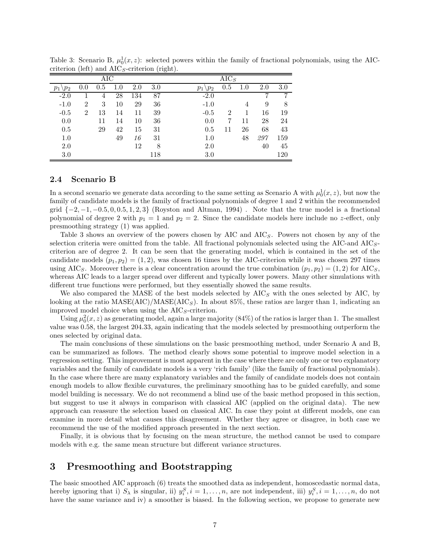| AIC             |                |     |         |     |     | $\overline{\mathrm{A}} \mathrm{IC}_S$ |     |     |     |     |  |
|-----------------|----------------|-----|---------|-----|-----|---------------------------------------|-----|-----|-----|-----|--|
| $\setminus p_2$ | 0.0            | 0.5 | $1.0\,$ | 2.0 | 3.0 | $\vee p_2$<br>$p_1$                   | 0.5 | 1.0 | 2.0 | 3.0 |  |
| $-2.0$          |                | 4   | 28      | 134 | 87  | $-2.0$                                |     |     |     | 7   |  |
| $-1.0$          | $\overline{2}$ | 3   | 10      | 29  | 36  | $-1.0$                                |     | 4   | 9   | 8   |  |
| $-0.5$          | $\overline{2}$ | 13  | 14      | 11  | 39  | $-0.5$                                | 2   |     | 16  | 19  |  |
| 0.0             |                | 11  | 14      | 10  | 36  | 0.0                                   |     | 11  | 28  | 24  |  |
| 0.5             |                | 29  | 42      | 15  | 31  | 0.5                                   | 11  | 26  | 68  | 43  |  |
| 1.0             |                |     | 49      | 16  | 31  | 1.0                                   |     | 48  | 297 | 159 |  |
| 2.0             |                |     |         | 12  | 8   | 2.0                                   |     |     | 40  | 45  |  |
| 3.0             |                |     |         |     | 118 | 3.0                                   |     |     |     | 120 |  |

Table 3: Scenario B,  $\mu_0^1(x, z)$ : selected powers within the family of fractional polynomials, using the AICcriterion (left) and  $AIC<sub>S</sub>$ -criterion (right).

### 2.4 Scenario B

In a second scenario we generate data according to the same setting as Scenario A with  $\mu_0^1(x, z)$ , but now the family of candidate models is the family of fractional polynomials of degree 1 and 2 within the recommended grid  $\{-2, -1, -0.5, 0, 0.5, 1, 2, 3\}$  (Royston and Altman, 1994). Note that the true model is a fractional polynomial of degree 2 with  $p_1 = 1$  and  $p_2 = 2$ . Since the candidate models here include no z-effect, only presmoothing strategy (1) was applied.

Table 3 shows an overview of the powers chosen by AIC and  $AIC<sub>S</sub>$ . Powers not chosen by any of the selection criteria were omitted from the table. All fractional polynomials selected using the AIC-and  $AIC_{S}$ criterion are of degree 2. It can be seen that the generating model, which is contained in the set of the candidate models  $(p_1, p_2) = (1, 2)$ , was chosen 16 times by the AIC-criterion while it was chosen 297 times using AIC<sub>S</sub>. Moreover there is a clear concentration around the true combination  $(p_1, p_2) = (1, 2)$  for AIC<sub>S</sub>, whereas AIC leads to a larger spread over different and typically lower powers. Many other simulations with different true functions were performed, but they essentially showed the same results.

We also compared the MASE of the best models selected by  $AIC_S$  with the ones selected by AIC, by looking at the ratio  $MASE(AIC)/MASE(AIC<sub>S</sub>)$ . In about 85%, these ratios are larger than 1, indicating an improved model choice when using the  $AIC<sub>S</sub>$ -criterion.

Using  $\mu_0^2(x, z)$  as generating model, again a large majority (84%) of the ratios is larger than 1. The smallest value was 0.58, the largest 204.33, again indicating that the models selected by presmoothing outperform the ones selected by original data.

The main conclusions of these simulations on the basic presmoothing method, under Scenario A and B, can be summarized as follows. The method clearly shows some potential to improve model selection in a regression setting. This improvement is most apparent in the case where there are only one or two explanatory variables and the family of candidate models is a very 'rich family' (like the family of fractional polynomials). In the case where there are many explanatory variables and the family of candidate models does not contain enough models to allow flexible curvatures, the preliminary smoothing has to be guided carefully, and some model building is necessary. We do not recommend a blind use of the basic method proposed in this section, but suggest to use it always in comparison with classical AIC (applied on the original data). The new approach can reassure the selection based on classical AIC. In case they point at different models, one can examine in more detail what causes this disagreement. Whether they agree or disagree, in both case we recommend the use of the modified approach presented in the next section.

Finally, it is obvious that by focusing on the mean structure, the method cannot be used to compare models with e.g. the same mean structure but different variance structures.

## 3 Presmoothing and Bootstrapping

The basic smoothed AIC approach (6) treats the smoothed data as independent, homoscedastic normal data, hereby ignoring that i)  $S_\lambda$  is singular, ii)  $y_i^S$ ,  $i = 1, \ldots, n$ , are not independent, iii)  $y_i^S$ ,  $i = 1, \ldots, n$ , do not have the same variance and iv) a smoother is biased. In the following section, we propose to generate new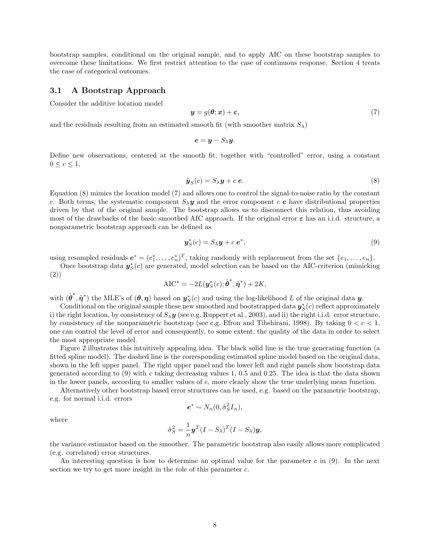bootstrap samples, conditional on the original sample, and to apply AIC on these bootstrap samples to overcome these limitations. We first restrict attention to the case of continuous response. Section 4 treats the case of categorical outcomes.

#### 3.1 A Bootstrap Approach

Consider the additive location model

$$
\mathbf{y} = g(\boldsymbol{\theta}; \mathbf{x}) + \boldsymbol{\varepsilon},\tag{7}
$$

and the residuals resulting from an estimated smooth fit (with smoother matrix  $S_\lambda$ )

$$
\mathbf{e}=\mathbf{y}-S_{\lambda}\mathbf{y}.
$$

Define new observations, centered at the smooth fit, together with "controlled" error, using a constant  $0 \leq c \leq 1$ ,

$$
\tilde{\mathbf{y}}_S(c) = S_\lambda \mathbf{y} + c \, \mathbf{e}.\tag{8}
$$

Equation (8) mimics the location model (7) and allows one to control the signal-to-noise ratio by the constant c. Both terms, the systematic component  $S_\lambda \mathbf{y}$  and the error component c e have distributional properties driven by that of the original sample. The bootstrap allows us to disconnect this relation, thus avoiding most of the drawbacks of the basic smoothed AIC approach. If the original error  $\varepsilon$  has an i.i.d. structure, a nonparametric bootstrap approach can be defined as

$$
\mathbf{y}_{S}^{*}(c) = S_{\lambda}\mathbf{y} + c\,\mathbf{e}^{*},\tag{9}
$$

using resampled residuals  $e^* = (e_1^*, \ldots, e_n^*)^T$ , taking randomly with replacement from the set  $\{e_1, \ldots, e_n\}$ .

Once bootstrap data  $y_S^*$  $S<sub>S</sub>(c)$  are generated, model selection can be based on the AIC-criterion (mimicking (2)) ∗

$$
AIC^* = -2L(\boldsymbol{y}_S^*(c); \hat{\boldsymbol{\theta}}^*, \hat{\boldsymbol{\eta}}^*) + 2K,
$$

with  $(\hat{\boldsymbol{\theta}}^*, \hat{\boldsymbol{\eta}}^*)$  the MLE's of  $(\boldsymbol{\theta}, \boldsymbol{\eta})$  based on  $\boldsymbol{y}_{\mathrm{S}}^*$  $\zeta(s)$  and using the log-likelihood L of the original data **y**.

Conditional on the original sample these new smoothed and bootstrapped data  $y_S^*$  $S<sub>S</sub>(c)$  reflect approximately i) the right location, by consistency of  $S_\lambda y$  (see e.g. Ruppert et al., 2003), and ii) the right i.i.d. error structure, by consistency of the nonparametric bootstrap (see e.g. Efron and Tibshirani, 1998). By taking  $0 < c < 1$ , one can control the level of error and consequently, to some extent, the quality of the data in order to select the most appropriate model.

Figure 2 illustrates this intuitively appealing idea. The black solid line is the true generating function (a fitted spline model). The dashed line is the corresponding estimated spline model based on the original data, shown in the left upper panel. The right upper panel and the lower left and right panels show bootstrap data generated according to (9) with c taking decreasing values 1, 0.5 and 0.25. The idea is that the data shown in the lower panels, according to smaller values of c, more clearly show the true underlying mean function.

Alternatively other bootstrap based error structures can be used, e.g. based on the parametric bootstrap, e.g. for normal i.i.d. errors

$$
\boldsymbol{e}^* \sim N_n(0, \hat{\sigma}_S^2 I_n),
$$

where

$$
\hat{\sigma}_S^2 = \frac{1}{n} \mathbf{y}^T (I - S_\lambda)^T (I - S_\lambda) \mathbf{y},
$$

the variance estimator based on the smoother. The parametric bootstrap also easily allows more complicated (e.g. correlated) error structures.

An interesting question is how to determine an optimal value for the parameter c in  $(9)$ . In the next section we try to get more insight in the role of this parameter c.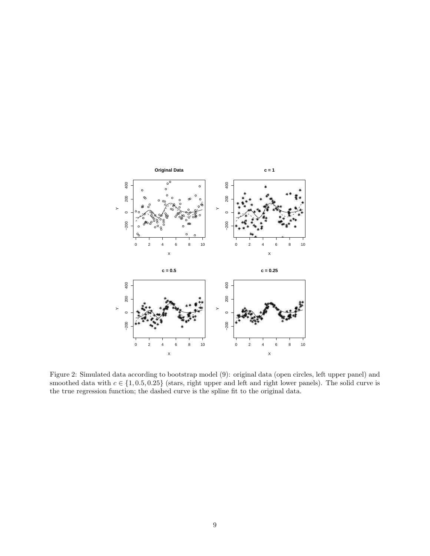

Figure 2: Simulated data according to bootstrap model (9): original data (open circles, left upper panel) and smoothed data with  $c \in \{1, 0.5, 0.25\}$  (stars, right upper and left and right lower panels). The solid curve is the true regression function; the dashed curve is the spline fit to the original data.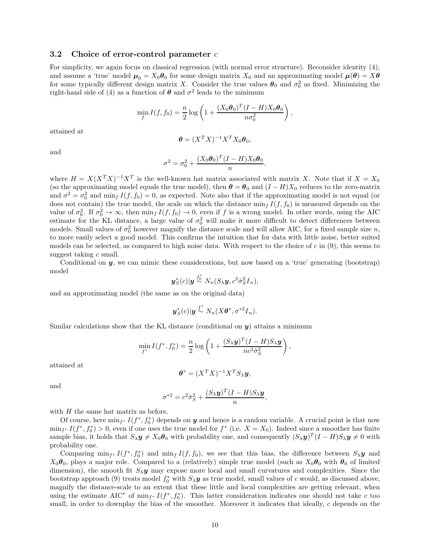### 3.2 Choice of error-control parameter  $c$

For simplicity, we again focus on classical regression (with normal error structure). Reconsider identity (4), and assume a 'true' model  $\mu_0 = X_0 \theta_0$  for some design matrix  $X_0$  and an approximating model  $\mu(\theta) = X\theta$ for some typically different design matrix X. Consider the true values  $\theta_0$  and  $\sigma_0^2$  as fixed. Minimizing the right-hand side of (4) as a function of  $\theta$  and  $\sigma^2$  leads to the minimum

$$
\min_{f} I(f, f_0) = \frac{n}{2} \log \left( 1 + \frac{(X_0 \boldsymbol{\theta}_0)^T (I - H) X_0 \boldsymbol{\theta}_0}{n \sigma_0^2} \right),
$$

attained at

$$
\boldsymbol{\theta} = (X^T X)^{-1} X^T X_0 \boldsymbol{\theta}_0,
$$

and

$$
\sigma^2 = \sigma_0^2 + \frac{(X_0 \theta_0)^T (I - H) X_0 \theta_0}{n},
$$

where  $H = X(X^T X)^{-1} X^T$  is the well-known hat matrix associated with matrix X. Note that if  $X = X_0$ (so the approximating model equals the true model), then  $\theta = \theta_0$  and  $(I - H)X_0$  reduces to the zero-matrix and  $\sigma^2 = \sigma_0^2$  and  $\min_f I(f, f_0) = 0$ , as expected. Note also that if the approximating model is not equal (or does not contain) the true model, the scale on which the distance  $\min_f I(f, f_0)$  is measured depends on the value of  $\sigma_0^2$ . If  $\sigma_0^2 \to \infty$ , then  $\min_f I(f, f_0) \to 0$ , even if f is a wrong model. In other words, using the AIC estimate for the KL distance, a large value of  $\sigma_0^2$  will make it more difficult to detect differences between models. Small values of  $\sigma_0^2$  however magnify the distance scale and will allow AIC, for a fixed sample size n, to more easily select a good model. This confirms the intuition that for data with little noise, better suited models can be selected, as compared to high noise data. With respect to the choice of  $c$  in  $(9)$ , this seems to suggest taking c small.

Conditional on  $y$ , we can mimic these considerations, but now based on a 'true' generating (bootstrap) model ∗

$$
\boldsymbol{y}_{S}^{*}(c)|\boldsymbol{y}\stackrel{f_{0}^{*}}{\sim}N_{n}(S_{\lambda}\boldsymbol{y},c^{2}\hat{\sigma}_{S}^{2}I_{n}),
$$

and an approximating model (the same as on the original data)

$$
\boldsymbol{y}_{S}^{*}(c)|\boldsymbol{y} \stackrel{f^{*}}{\sim} N_{n}(X\boldsymbol{\theta}^{*}, \sigma^{*2}I_{n}).
$$

Similar calculations show that the KL distance (conditional on  $y$ ) attains a minimum

$$
\min_{f^*} I(f^*, f_0^*) = \frac{n}{2} \log \left( 1 + \frac{(S_\lambda \mathbf{y})^T (I - H) S_\lambda \mathbf{y}}{n c^2 \hat{\sigma}_S^2} \right),
$$

attained at

$$
\boldsymbol{\theta}^* = (X^T X)^{-1} X^T S_{\lambda} \boldsymbol{y},
$$

and

$$
\sigma^{*2} = c^2 \hat{\sigma}_S^2 + \frac{(S_\lambda \mathbf{y})^T (I - H) S_\lambda \mathbf{y}}{n},
$$

with  $H$  the same hat matrix as before.

Of course, here  $\min_{f^*} I(f^*, f_0^*)$  depends on y and hence is a random variable. A crucial point is that now  $\min_{f^*} I(f^*, f_0^*) > 0$ , even if one uses the true model for  $f^*$  (i.e.  $X = X_0$ ). Indeed since a smoother has finite sample bias, it holds that  $S_\lambda y \neq X_0 \theta_0$  with probability one, and consequently  $(S_\lambda y)^T (I - H) S_\lambda y \neq 0$  with probability one.

Comparing  $\min_{f^*} I(f^*, f_0^*)$  and  $\min_f I(f, f_0)$ , we see that this bias, the difference between  $S_\lambda y$  and  $X_0\theta_0$ , plays a major role. Compared to a (relatively) simple true model (such as  $X_0\theta_0$  with  $\theta_0$  of limited dimension), the smooth fit  $S_\lambda y$  may expose more local and small curvatures and complexities. Since the bootstrap approach (9) treats model  $f_0^*$  with  $S_\lambda y$  as true model, small values of c would, as discussed above, magnify the distance-scale to an extent that these little and local complexities are getting relevant, when using the estimate AIC<sup>\*</sup> of min<sub>f</sub>\*  $I(f^*, f_0^*)$ . This latter consideration indicates one should not take c too small, in order to downplay the bias of the smoother. Moreover it indicates that ideally, c depends on the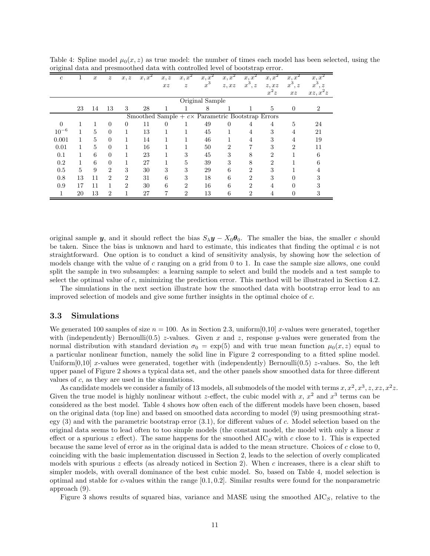| $\mathfrak{c}$                                           | T  | $\boldsymbol{x}$ | $\boldsymbol{z}$ | x, z           | $x, x^2$ | x, z | $x, x^2$         | $x, x^2$ | $x, x^2$       | x, x           | x, x           | x, x                        | x, x           |
|----------------------------------------------------------|----|------------------|------------------|----------------|----------|------|------------------|----------|----------------|----------------|----------------|-----------------------------|----------------|
|                                                          |    |                  |                  |                |          | xz   | $\boldsymbol{z}$ | $x^3$    | z, xz          | $x^3, z$       | z, xz          | $x^3$<br>$\cdot z$          | $x^3$          |
|                                                          |    |                  |                  |                |          |      |                  |          |                |                | $x^2z$         | xz                          | $xz, x^2z$     |
|                                                          |    | Original Sample  |                  |                |          |      |                  |          |                |                |                |                             |                |
|                                                          | 23 | 14               | 13               | 3              | 28       |      |                  | 8        |                |                | 5              | $\theta$                    | $\overline{2}$ |
| Smoothed Sample $+ c \times$ Parametric Bootstrap Errors |    |                  |                  |                |          |      |                  |          |                |                |                |                             |                |
| $\Omega$                                                 |    |                  | $\Omega$         | 0              | 11       | 0    |                  | 49       | $\Omega$       | 4              | 4              | $\overline{5}$              | 24             |
| $10^{-6}$                                                | 1  | 5                | $\overline{0}$   | 1              | 13       |      | 1                | 45       |                | 4              | 3              | 4                           | 21             |
| 0.001                                                    | 1  | 5                | $\overline{0}$   | 1              | 14       |      |                  | 46       |                | 4              | 3              | $\overline{4}$              | 19             |
| 0.01                                                     | 1  | 5                | $\Omega$         | 1              | 16       |      |                  | 50       | $\mathfrak{D}$ |                | 3              | $\mathcal{D}_{\mathcal{L}}$ | 11             |
| 0.1                                                      | 1  | 6                | $\Omega$         | 1              | 23       |      | 3                | 45       | 3              | 8              | $\overline{2}$ |                             | 6              |
| 0.2                                                      | 1  | 6                | $\overline{0}$   | 1              | 27       |      | 5                | 39       | 3              | 8              | $\overline{2}$ |                             |                |
| 0.5                                                      | 5  | 9                | $\overline{2}$   | 3              | 30       | 3    | 3                | 29       | 6              | $\overline{2}$ | 3              |                             |                |
| 0.8                                                      | 13 | 11               | $\mathfrak{D}$   | $\overline{2}$ | 31       | 6    | 3                | 18       | 6              | 2              | 3              |                             |                |
| 0.9                                                      | 17 | 11               | 1                | $\overline{2}$ | 30       | 6    | $\overline{2}$   | 16       | 6              | $\overline{2}$ | 4              |                             |                |
| 1                                                        | 20 | 13               | $\overline{2}$   | 1              | 27       | 7    | $\overline{2}$   | 13       | 6              | 2              | 4              | $\theta$                    | 3              |

Table 4: Spline model  $\mu_0(x, z)$  as true model: the number of times each model has been selected, using the original data and presmoothed data with controlled level of bootstrap error.

original sample y, and it should reflect the bias  $S_{\lambda}y - X_0\theta_0$ . The smaller the bias, the smaller c should be taken. Since the bias is unknown and hard to estimate, this indicates that finding the optimal  $c$  is not straightforward. One option is to conduct a kind of sensitivity analysis, by showing how the selection of models change with the value of c ranging on a grid from 0 to 1. In case the sample size allows, one could split the sample in two subsamples: a learning sample to select and build the models and a test sample to select the optimal value of c, minimizing the prediction error. This method will be illustrated in Section 4.2.

The simulations in the next section illustrate how the smoothed data with bootstrap error lead to an improved selection of models and give some further insights in the optimal choice of c.

### 3.3 Simulations

We generated 100 samples of size  $n = 100$ . As in Section 2.3, uniform [0,10] x-values were generated, together with (independently) Bernoulli(0.5) z-values. Given x and z, response y-values were generated from the normal distribution with standard deviation  $\sigma_0 = \exp(5)$  and with true mean function  $\mu_0(x, z)$  equal to a particular nonlinear function, namely the solid line in Figure 2 corresponding to a fitted spline model. Uniform $[0,10]$  x-values were generated, together with (independently) Bernoulli $(0.5)$  z-values. So, the left upper panel of Figure 2 shows a typical data set, and the other panels show smoothed data for three different values of  $c$ , as they are used in the simulations.

As candidate models we consider a family of 13 models, all submodels of the model with terms  $x, x^2, x^3, z, xz, x^2z$ . Given the true model is highly nonlinear without z-effect, the cubic model with x,  $x^2$  and  $x^3$  terms can be considered as the best model. Table 4 shows how often each of the different models have been chosen, based on the original data (top line) and based on smoothed data according to model (9) using presmoothing strategy (3) and with the parametric bootstrap error (3.1), for different values of c. Model selection based on the original data seems to lead often to too simple models (the constant model, the model with only a linear  $x$ effect or a spurious z effect). The same happens for the smoothed  $AIC<sub>S</sub>$  with c close to 1. This is expected because the same level of error as in the original data is added to the mean structure. Choices of  $c$  close to  $0$ , coinciding with the basic implementation discussed in Section 2, leads to the selection of overly complicated models with spurious  $z$  effects (as already noticed in Section 2). When c increases, there is a clear shift to simpler models, with overall dominance of the best cubic model. So, based on Table 4, model selection is optimal and stable for c-values within the range  $[0.1, 0.2]$ . Similar results were found for the nonparametric approach (9).

Figure 3 shows results of squared bias, variance and MASE using the smoothed  $AIC<sub>S</sub>$ , relative to the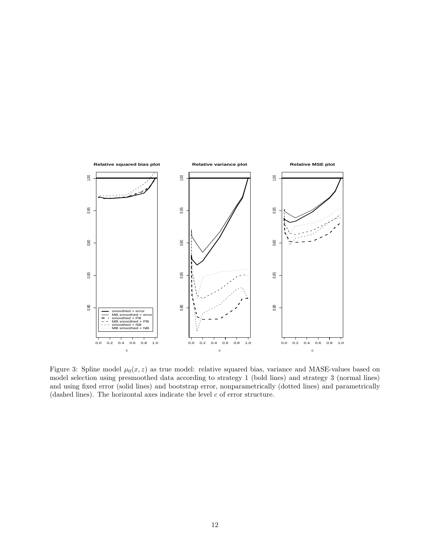

Figure 3: Spline model  $\mu_0(x, z)$  as true model: relative squared bias, variance and MASE-values based on model selection using presmoothed data according to strategy 1 (bold lines) and strategy 3 (normal lines) and using fixed error (solid lines) and bootstrap error, nonparametrically (dotted lines) and parametrically (dashed lines). The horizontal axes indicate the level  $c$  of error structure.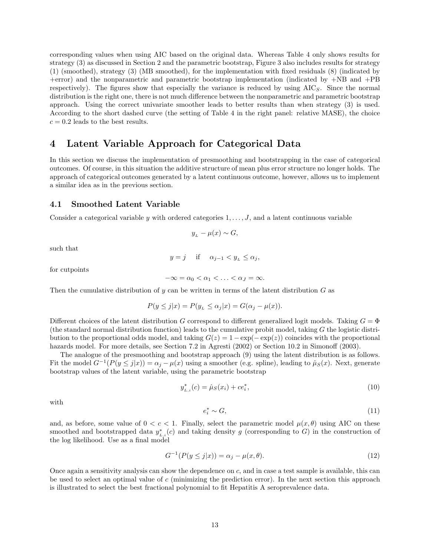corresponding values when using AIC based on the original data. Whereas Table 4 only shows results for strategy (3) as discussed in Section 2 and the parametric bootstrap, Figure 3 also includes results for strategy (1) (smoothed), strategy (3) (MB smoothed), for the implementation with fixed residuals (8) (indicated by +error) and the nonparametric and parametric bootstrap implementation (indicated by +NB and +PB respectively). The figures show that especially the variance is reduced by using  $AIC<sub>S</sub>$ . Since the normal distribution is the right one, there is not much difference between the nonparametric and parametric bootstrap approach. Using the correct univariate smoother leads to better results than when strategy (3) is used. According to the short dashed curve (the setting of Table 4 in the right panel: relative MASE), the choice  $c = 0.2$  leads to the best results.

## 4 Latent Variable Approach for Categorical Data

In this section we discuss the implementation of presmoothing and bootstrapping in the case of categorical outcomes. Of course, in this situation the additive structure of mean plus error structure no longer holds. The approach of categorical outcomes generated by a latent continuous outcome, however, allows us to implement a similar idea as in the previous section.

### 4.1 Smoothed Latent Variable

Consider a categorical variable y with ordered categories  $1, \ldots, J$ , and a latent continuous variable

$$
y_{L} - \mu(x) \sim G,
$$

such that

$$
y = j \quad \text{if} \quad \alpha_{j-1} < y_L \le \alpha_j,
$$

for cutpoints

$$
-\infty = \alpha_0 < \alpha_1 < \ldots < \alpha_J = \infty.
$$

Then the cumulative distribution of y can be written in terms of the latent distribution  $G$  as

$$
P(y \le j|x) = P(y_L \le \alpha_j|x) = G(\alpha_j - \mu(x)).
$$

Different choices of the latent distribution G correspond to different generalized logit models. Taking  $G = \Phi$ (the standard normal distribution function) leads to the cumulative probit model, taking  $G$  the logistic distribution to the proportional odds model, and taking  $G(z) = 1 - \exp(-\exp(z))$  coincides with the proportional hazards model. For more details, see Section 7.2 in Agresti (2002) or Section 10.2 in Simonoff (2003).

The analogue of the presmoothing and bootstrap approach (9) using the latent distribution is as follows. Fit the model  $G^{-1}(P(y \leq j|x)) = \alpha_j - \mu(x)$  using a smoother (e.g. spline), leading to  $\hat{\mu}_S(x)$ . Next, generate bootstrap values of the latent variable, using the parametric bootstrap

$$
y_{L,i}^*(c) = \hat{\mu}_S(x_i) + ce_i^*,\tag{10}
$$

with

$$
e_i^* \sim G,\tag{11}
$$

and, as before, some value of  $0 < c < 1$ . Finally, select the parametric model  $\mu(x, \theta)$  using AIC on these smoothed and bootstrapped data  $y_{L,i}^*(c)$  and taking density g (corresponding to G) in the construction of the log likelihood. Use as a final model

$$
G^{-1}(P(y \le j|x)) = \alpha_j - \mu(x, \theta). \tag{12}
$$

Once again a sensitivity analysis can show the dependence on  $c$ , and in case a test sample is available, this can be used to select an optimal value of  $c$  (minimizing the prediction error). In the next section this approach is illustrated to select the best fractional polynomial to fit Hepatitis A seroprevalence data.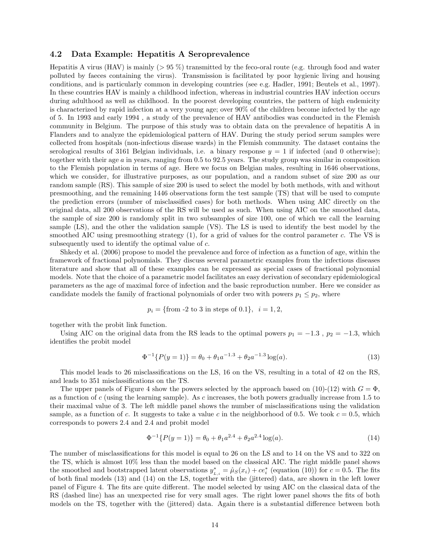### 4.2 Data Example: Hepatitis A Seroprevalence

Hepatitis A virus (HAV) is mainly  $(> 95\%)$  transmitted by the feco-oral route (e.g. through food and water polluted by faeces containing the virus). Transmission is facilitated by poor hygienic living and housing conditions, and is particularly common in developing countries (see e.g. Hadler, 1991; Beutels et al., 1997). In these countries HAV is mainly a childhood infection, whereas in industrial countries HAV infection occurs during adulthood as well as childhood. In the poorest developing countries, the pattern of high endemicity is characterized by rapid infection at a very young age; over 90% of the children become infected by the age of 5. In 1993 and early 1994 , a study of the prevalence of HAV antibodies was conducted in the Flemish community in Belgium. The purpose of this study was to obtain data on the prevalence of hepatitis A in Flanders and to analyze the epidemiological pattern of HAV. During the study period serum samples were collected from hospitals (non-infectious disease wards) in the Flemish community. The dataset contains the serological results of 3161 Belgian individuals, i.e. a binary response  $y = 1$  if infected (and 0 otherwise); together with their age a in years, ranging from 0.5 to 92.5 years. The study group was similar in composition to the Flemish population in terms of age. Here we focus on Belgian males, resulting in 1646 observations, which we consider, for illustrative purposes, as our population, and a random subset of size 200 as our random sample (RS). This sample of size 200 is used to select the model by both methods, with and without presmoothing, and the remaining 1446 observations form the test sample (TS) that will be used to compute the prediction errors (number of misclassified cases) for both methods. When using AIC directly on the original data, all 200 observations of the RS will be used as such. When using AIC on the smoothed data, the sample of size 200 is randomly split in two subsamples of size 100, one of which we call the learning sample (LS), and the other the validation sample (VS). The LS is used to identify the best model by the smoothed AIC using presmoothing strategy  $(1)$ , for a grid of values for the control parameter c. The VS is subsequently used to identify the optimal value of c.

Shkedy et al. (2006) propose to model the prevalence and force of infection as a function of age, within the framework of fractional polynomials. They discuss several parametric examples from the infectious diseases literature and show that all of these examples can be expressed as special cases of fractional polynomial models. Note that the choice of a parametric model facilitates an easy derivation of secondary epidemiological parameters as the age of maximal force of infection and the basic reproduction number. Here we consider as candidate models the family of fractional polynomials of order two with powers  $p_1 \leq p_2$ , where

$$
p_i = \{\text{from -2 to 3 in steps of 0.1}\}, i = 1, 2,
$$

together with the probit link function.

Using AIC on the original data from the RS leads to the optimal powers  $p_1 = -1.3$ ,  $p_2 = -1.3$ , which identifies the probit model

$$
\Phi^{-1}{P(y=1)} = \theta_0 + \theta_1 a^{-1.3} + \theta_2 a^{-1.3} \log(a). \tag{13}
$$

This model leads to 26 misclassifications on the LS, 16 on the VS, resulting in a total of 42 on the RS, and leads to 351 misclassifications on the TS.

The upper panels of Figure 4 show the powers selected by the approach based on (10)-(12) with  $G = \Phi$ , as a function of c (using the learning sample). As c increases, the both powers gradually increase from 1.5 to their maximal value of 3. The left middle panel shows the number of misclassifications using the validation sample, as a function of c. It suggests to take a value c in the neighborhood of 0.5. We took  $c = 0.5$ , which corresponds to powers 2.4 and 2.4 and probit model

$$
\Phi^{-1}{P(y=1)} = \theta_0 + \theta_1 a^{2.4} + \theta_2 a^{2.4} \log(a). \tag{14}
$$

The number of misclassifications for this model is equal to 26 on the LS and to 14 on the VS and to 322 on the TS, which is almost 10% less than the model based on the classical AIC. The right middle panel shows the smoothed and bootstrapped latent observations  $y_{L,i}^* = \hat{\mu}_S(x_i) + ce_i^*$  (equation (10)) for  $c = 0.5$ . The fits of both final models (13) and (14) on the LS, together with the (jittered) data, are shown in the left lower panel of Figure 4. The fits are quite different. The model selected by using AIC on the classical data of the RS (dashed line) has an unexpected rise for very small ages. The right lower panel shows the fits of both models on the TS, together with the (jittered) data. Again there is a substantial difference between both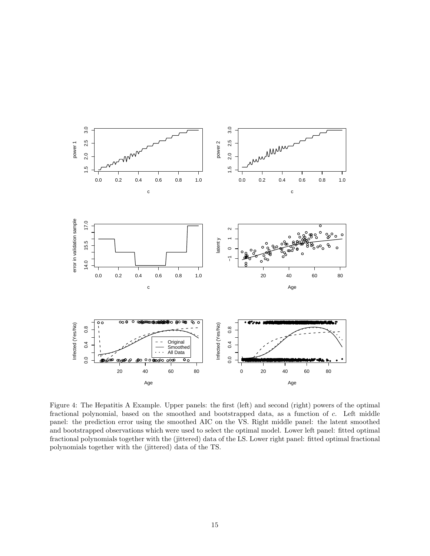

Figure 4: The Hepatitis A Example. Upper panels: the first (left) and second (right) powers of the optimal fractional polynomial, based on the smoothed and bootstrapped data, as a function of c. Left middle panel: the prediction error using the smoothed AIC on the VS. Right middle panel: the latent smoothed and bootstrapped observations which were used to select the optimal model. Lower left panel: fitted optimal fractional polynomials together with the (jittered) data of the LS. Lower right panel: fitted optimal fractional polynomials together with the (jittered) data of the TS.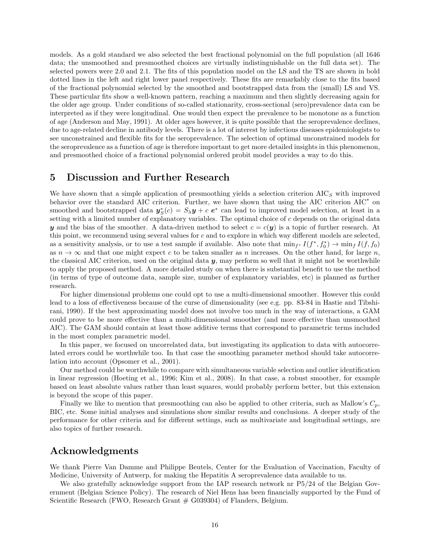models. As a gold standard we also selected the best fractional polynomial on the full population (all 1646 data; the unsmoothed and presmoothed choices are virtually indistinguishable on the full data set). The selected powers were 2.0 and 2.1. The fits of this population model on the LS and the TS are shown in bold dotted lines in the left and right lower panel respectively. These fits are remarkably close to the fits based of the fractional polynomial selected by the smoothed and bootstrapped data from the (small) LS and VS. These particular fits show a well-known pattern, reaching a maximum and then slightly decreasing again for the older age group. Under conditions of so-called stationarity, cross-sectional (sero)prevalence data can be interpreted as if they were longitudinal. One would then expect the prevalence to be monotone as a function of age (Anderson and May, 1991). At older ages however, it is quite possible that the seroprevalence declines, due to age-related decline in antibody levels. There is a lot of interest by infectious diseases epidemiologists to see unconstrained and flexible fits for the seroprevalence. The selection of optimal unconstrained models for the seroprevalence as a function of age is therefore important to get more detailed insights in this phenomenon, and presmoothed choice of a fractional polynomial ordered probit model provides a way to do this.

## 5 Discussion and Further Research

We have shown that a simple application of presmoothing yields a selection criterion  $AIC<sub>S</sub>$  with improved behavior over the standard AIC criterion. Further, we have shown that using the AIC criterion AIC<sup>∗</sup> on smoothed and bootstrapped data  $y_S^*$  $S(S(\mathbf{c}) = S_{\lambda} \mathbf{y} + \mathbf{c} \mathbf{e}^*$  can lead to improved model selection, at least in a setting with a limited number of explanatory variables. The optimal choice of c depends on the original data y and the bias of the smoother. A data-driven method to select  $c = c(y)$  is a topic of further research. At this point, we recommend using several values for c and to explore in which way different models are selected, as a sensitivity analysis, or to use a test sample if available. Also note that  $\min_{f^*} I(f^*, f_0^*) \to \min_f I(f, f_0)$ as  $n \to \infty$  and that one might expect c to be taken smaller as n increases. On the other hand, for large n, the classical AIC criterion, used on the original data  $y$ , may perform so well that it might not be worthwhile to apply the proposed method. A more detailed study on when there is substantial benefit to use the method (in terms of type of outcome data, sample size, number of explanatory variables, etc) is planned as further research.

For higher dimensional problems one could opt to use a multi-dimensional smoother. However this could lead to a loss of effectiveness because of the curse of dimensionality (see e.g. pp. 83-84 in Hastie and Tibshirani, 1990). If the best approximating model does not involve too much in the way of interactions, a GAM could prove to be more effective than a multi-dimensional smoother (and more effective than unsmoothed AIC). The GAM should contain at least those additive terms that correspond to parametric terms included in the most complex parametric model.

In this paper, we focused on uncorrelated data, but investigating its application to data with autocorrelated errors could be worthwhile too. In that case the smoothing parameter method should take autocorrelation into account (Opsomer et al., 2001).

Our method could be worthwhile to compare with simultaneous variable selection and outlier identification in linear regression (Hoeting et al., 1996; Kim et al., 2008). In that case, a robust smoother, for example based on least absolute values rather than least squares, would probably perform better, but this extension is beyond the scope of this paper.

Finally we like to mention that presmoothing can also be applied to other criteria, such as Mallow's  $C_p$ , BIC, etc. Some initial analyses and simulations show similar results and conclusions. A deeper study of the performance for other criteria and for different settings, such as multivariate and longitudinal settings, are also topics of further research.

## Acknowledgments

We thank Pierre Van Damme and Philippe Beutels, Center for the Evaluation of Vaccination, Faculty of Medicine, University of Antwerp, for making the Hepatitis A seroprevalence data available to us.

We also gratefully acknowledge support from the IAP research network nr P5/24 of the Belgian Government (Belgian Science Policy). The research of Niel Hens has been financially supported by the Fund of Scientific Research (FWO, Research Grant  $#$  G039304) of Flanders, Belgium.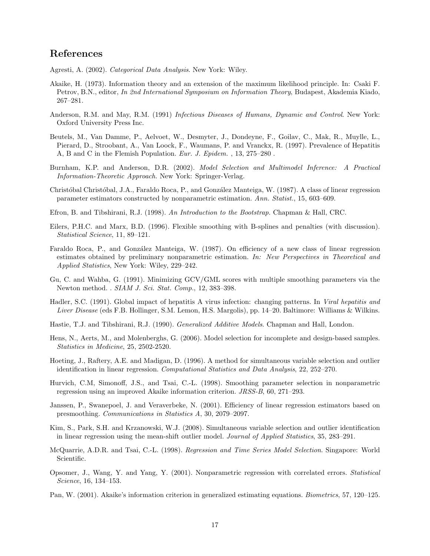## References

Agresti, A. (2002). *Categorical Data Analysis*. New York: Wiley.

- Akaike, H. (1973). Information theory and an extension of the maximum likelihood principle. In: Csaki F. Petrov, B.N., editor, *In 2nd International Symposium on Information Theory*, Budapest, Akademia Kiado, 267–281.
- Anderson, R.M. and May, R.M. (1991) *Infectious Diseases of Humans, Dynamic and Control*. New York: Oxford University Press Inc.
- Beutels, M., Van Damme, P., Aelvoet, W., Desmyter, J., Dondeyne, F., Goilav, C., Mak, R., Muylle, L., Pierard, D., Stroobant, A., Van Loock, F., Waumans, P. and Vranckx, R. (1997). Prevalence of Hepatitis A, B and C in the Flemish Population. *Eur. J. Epidem.* , 13, 275–280 .
- Burnham, K.P. and Anderson, D.R. (2002). *Model Selection and Multimodel Inference: A Practical Information-Theoretic Approach.* New York: Springer-Verlag.
- Christóbal Christóbal, J.A., Faraldo Roca, P., and González Manteiga, W. (1987). A class of linear regression parameter estimators constructed by nonparametric estimation. *Ann. Statist.*, 15, 603–609.
- Efron, B. and Tibshirani, R.J. (1998). *An Introduction to the Bootstrap.* Chapman & Hall, CRC.
- Eilers, P.H.C. and Marx, B.D. (1996). Flexible smoothing with B-splines and penalties (with discussion). *Statistical Science*, 11, 89–121.
- Faraldo Roca, P., and González Manteiga, W. (1987). On efficiency of a new class of linear regression estimates obtained by preliminary nonparametric estimation. *In: New Perspectives in Theoretical and Applied Statistics*, New York: Wiley, 229–242.
- Gu, C. and Wahba, G. (1991). Minimizing GCV/GML scores with multiple smoothing parameters via the Newton method. . *SIAM J. Sci. Stat. Comp.*, 12, 383–398.
- Hadler, S.C. (1991). Global impact of hepatitis A virus infection: changing patterns. In *Viral hepatitis and Liver Disease* (eds F.B. Hollinger, S.M. Lemon, H.S. Margolis), pp. 14–20. Baltimore: Williams & Wilkins.
- Hastie, T.J. and Tibshirani, R.J. (1990). *Generalized Additive Models*. Chapman and Hall, London.
- Hens, N., Aerts, M., and Molenberghs, G. (2006). Model selection for incomplete and design-based samples. *Statistics in Medicine*, 25, 2502-2520.
- Hoeting, J., Raftery, A.E. and Madigan, D. (1996). A method for simultaneous variable selection and outlier identification in linear regression. *Computational Statistics and Data Analysis*, 22, 252–270.
- Hurvich, C.M, Simonoff, J.S., and Tsai, C.-L. (1998). Smoothing parameter selection in nonparametric regression using an improved Akaike information criterion. *JRSS-B*, 60, 271–293.
- Janssen, P., Swanepoel, J. and Veraverbeke, N. (2001). Efficiency of linear regression estimators based on presmoothing. *Communications in Statistics A*, 30, 2079–2097.
- Kim, S., Park, S.H. and Krzanowski, W.J. (2008). Simultaneous variable selection and outlier identification in linear regression using the mean-shift outlier model. *Journal of Applied Statistics*, 35, 283–291.
- McQuarrie, A.D.R. and Tsai, C.-L. (1998). *Regression and Time Series Model Selection*. Singapore: World Scientific.
- Opsomer, J., Wang, Y. and Yang, Y. (2001). Nonparametric regression with correlated errors. *Statistical Science*, 16, 134–153.
- Pan, W. (2001). Akaike's information criterion in generalized estimating equations. *Biometrics*, 57, 120–125.